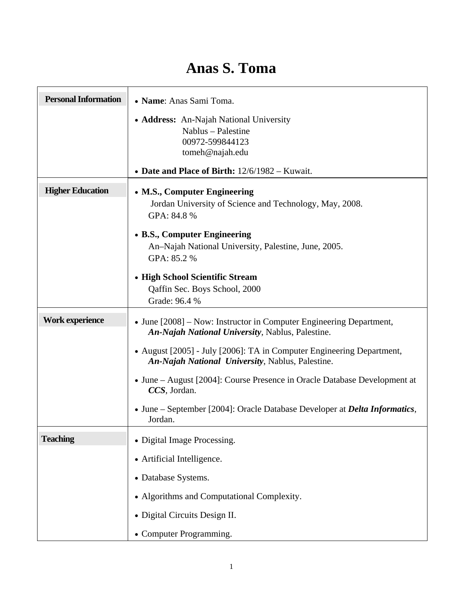## **Anas S. Toma**

| <b>Personal Information</b> | • Name: Anas Sami Toma.                                                                                                          |
|-----------------------------|----------------------------------------------------------------------------------------------------------------------------------|
|                             | • Address: An-Najah National University<br>Nablus - Palestine<br>00972-599844123<br>tomeh@najah.edu                              |
|                             | • Date and Place of Birth: 12/6/1982 – Kuwait.                                                                                   |
| <b>Higher Education</b>     | • M.S., Computer Engineering<br>Jordan University of Science and Technology, May, 2008.<br>GPA: 84.8 %                           |
|                             | • B.S., Computer Engineering<br>An-Najah National University, Palestine, June, 2005.<br>GPA: 85.2 %                              |
|                             | • High School Scientific Stream<br>Qaffin Sec. Boys School, 2000<br>Grade: 96.4 %                                                |
| <b>Work experience</b>      | • June [2008] – Now: Instructor in Computer Engineering Department,<br>An-Najah National University, Nablus, Palestine.          |
|                             | • August [2005] - July [2006]: TA in Computer Engineering Department,<br><b>An-Najah National University, Nablus, Palestine.</b> |
|                             | • June – August [2004]: Course Presence in Oracle Database Development at<br>CCS, Jordan.                                        |
|                             | • June – September [2004]: Oracle Database Developer at <i>Delta Informatics</i> ,<br>Jordan.                                    |
| <b>Teaching</b>             | • Digital Image Processing.                                                                                                      |
|                             | • Artificial Intelligence.                                                                                                       |
|                             | • Database Systems.                                                                                                              |
|                             | • Algorithms and Computational Complexity.                                                                                       |
|                             | • Digital Circuits Design II.                                                                                                    |
|                             | • Computer Programming.                                                                                                          |